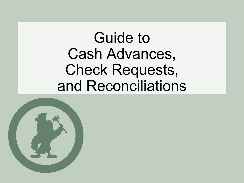### Guide to Cash Advances, Check Requests, and Reconciliations

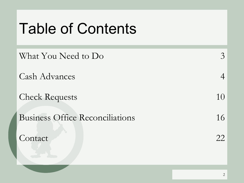### Table of Contents

| What You Need to Do                    |    |
|----------------------------------------|----|
| <b>Cash Advances</b>                   |    |
| <b>Check Requests</b>                  | 10 |
| <b>Business Office Reconciliations</b> | 16 |
| Contact                                | 22 |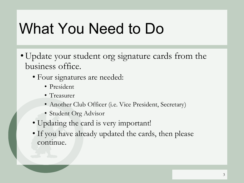## What You Need to Do

- Update your student org signature cards from the business office.
	- Four signatures are needed:
		- President
		- Treasurer
		- Another Club Officer (i.e. Vice President, Secretary)
		- Student Org Advisor
	- Updating the card is very important!
	- If you have already updated the cards, then please continue.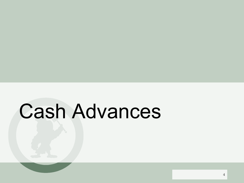# Cash Advances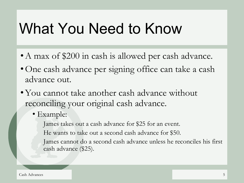#### What You Need to Know

- A max of \$200 in cash is allowed per cash advance.
- •One cash advance per signing office can take a cash advance out.
- You cannot take another cash advance without reconciling your original cash advance.
	- Example:

James takes out a cash advance for \$25 for an event.

He wants to take out a second cash advance for \$50.

James cannot do a second cash advance unless he reconciles his first cash advance (\$25).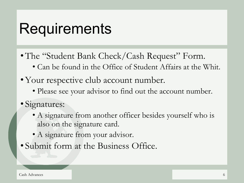#### **Requirements**

- The "Student Bank Check/Cash Request" Form.
	- Can be found in the Office of Student Affairs at the Whit.
- Your respective club account number.
	- Please see your advisor to find out the account number.
- Signatures:
	- A signature from another officer besides yourself who is also on the signature card.
	- A signature from your advisor.
- Submit form at the Business Office.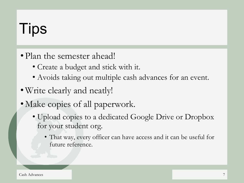# **Tips**

- Plan the semester ahead!
	- Create a budget and stick with it.
	- Avoids taking out multiple cash advances for an event.
- •Write clearly and neatly!
- Make copies of all paperwork.
	- Upload copies to a dedicated Google Drive or Dropbox for your student org.
		- That way, every officer can have access and it can be useful for future reference.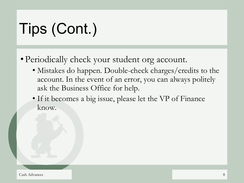# Tips (Cont.)

- Periodically check your student org account.
	- Mistakes do happen. Double-check charges/credits to the account. In the event of an error, you can always politely ask the Business Office for help.
	- If it becomes a big issue, please let the VP of Finance know.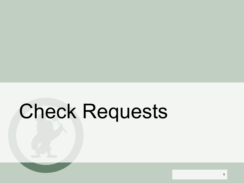# Check Requests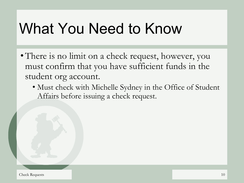## What You Need to Know

- There is no limit on a check request, however, you must confirm that you have sufficient funds in the student org account.
	- Must check with Michelle Sydney in the Office of Student Affairs before issuing a check request.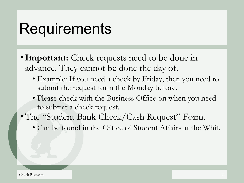#### **Requirements**

- **Important:** Check requests need to be done in advance. They cannot be done the day of.
	- Example: If you need a check by Friday, then you need to submit the request form the Monday before.
	- Please check with the Business Office on when you need to submit a check request.
- The "Student Bank Check/Cash Request" Form.
	- Can be found in the Office of Student Affairs at the Whit.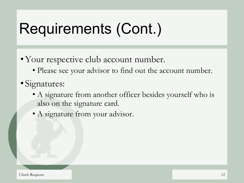# Requirements (Cont.)

- •Your respective club account number.
	- Please see your advisor to find out the account number.
- Signatures:
	- A signature from another officer besides yourself who is also on the signature card.
	- A signature from your advisor.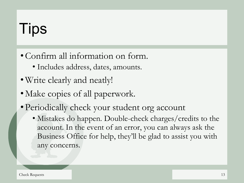# **Tips**

- •Confirm all information on form.
	- Includes address, dates, amounts.
- •Write clearly and neatly!
- Make copies of all paperwork.
- Periodically check your student org account
	- Mistakes do happen. Double-check charges/credits to the account. In the event of an error, you can always ask the Business Office for help, they'll be glad to assist you with any concerns.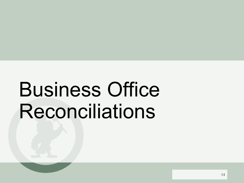# Business Office Reconciliations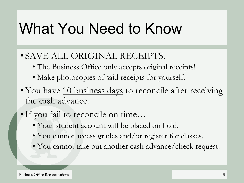### What You Need to Know

#### • SAVE ALL ORIGINAL RECEIPTS.

- The Business Office only accepts original receipts!
- Make photocopies of said receipts for yourself.
- You have 10 business days to reconcile after receiving the cash advance.
- •If you fail to reconcile on time…
	- Your student account will be placed on hold.
	- You cannot access grades and/or register for classes.
	- You cannot take out another cash advance/check request.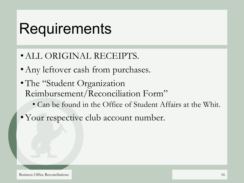#### **Requirements**

- •ALL ORIGINAL RECEIPTS.
- Any leftover cash from purchases.
- The "Student Organization" Reimbursement/Reconciliation Form"
	- Can be found in the Office of Student Affairs at the Whit.
- •Your respective club account number.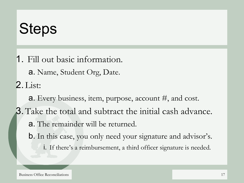### **Steps**

1. Fill out basic information.

a. Name, Student Org, Date.

2. List:

a. Every business, item, purpose, account #, and cost.

- 3.Take the total and subtract the initial cash advance. a. The remainder will be returned.
	- b. In this case, you only need your signature and advisor's.
		- i. If there's a reimbursement, a third officer signature is needed.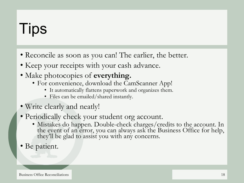# **Tips**

- Reconcile as soon as you can! The earlier, the better.
- Keep your receipts with your cash advance.
- Make photocopies of **everything.**
	- For convenience, download the CamScanner App!
		- It automatically flattens paperwork and organizes them.
		- Files can be emailed/shared instantly.
- Write clearly and neatly!
- Periodically check your student org account.
	- Mistakes do happen. Double-check charges/credits to the account. In the event of an error, you can always ask the Business Office for help, they'll be glad to assist you with any concerns.
- Be patient.